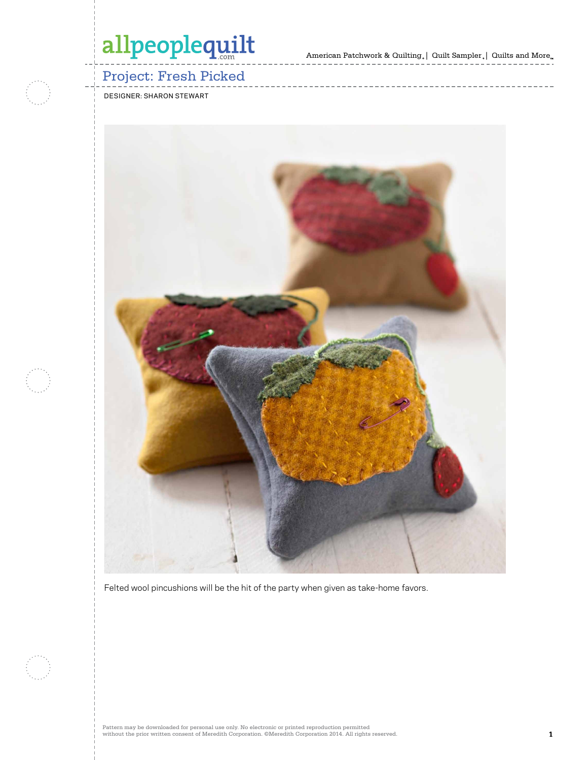American Patchwork & Quilting  $_{\circ} \, | \,$  Quilt Sampler  $_{\circ} \, | \,$  Quilts and More  $_{\circ} \,$ 

### Project: Fresh Picked

designer: sharon stewart



Felted wool pincushions will be the hit of the party when given as take-home favors.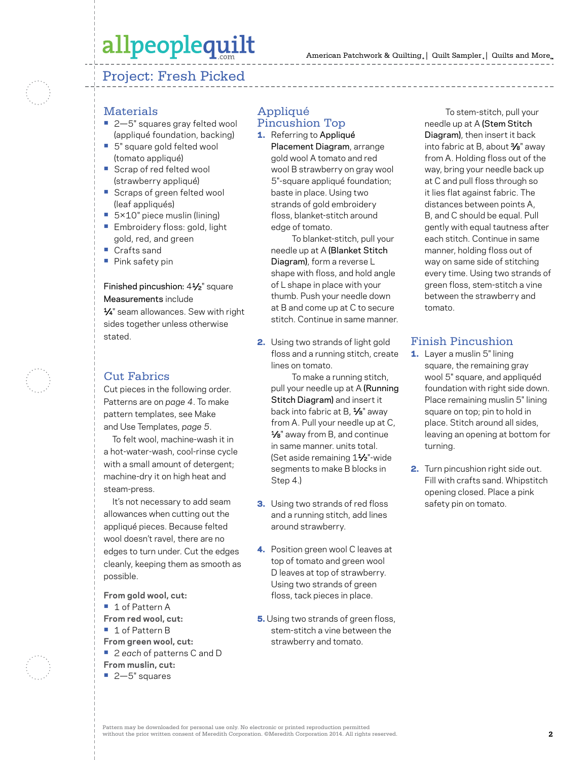### Project: Fresh Picked

#### **Materials**

- **•** 2—5" squares gray felted wool (appliqué foundation, backing)
- **•** 5" square gold felted wool (tomato appliqué)
- **•** Scrap of red felted wool (strawberry appliqué)
- **•** Scraps of green felted wool (leaf appliqués)
- **•** 5×10" piece muslin (lining)
- **•** Embroidery floss: gold, light gold, red, and green
- **•** Crafts sand
- **•** Pink safety pin

#### Finished pincushion: 41⁄2" square Measurements include

1⁄4" seam allowances. Sew with right sides together unless otherwise stated.

#### Cut Fabrics

Cut pieces in the following order. Patterns are on *page 4*. To make pattern templates, see Make and Use Templates, *page 5*.

To felt wool, machine-wash it in a hot-water-wash, cool-rinse cycle with a small amount of detergent; machine-dry it on high heat and steam-press.

It's not necessary to add seam allowances when cutting out the appliqué pieces. Because felted wool doesn't ravel, there are no edges to turn under. Cut the edges cleanly, keeping them as smooth as possible.

**From gold wool, cut: •** 1 of Pattern A **From red wool, cut: •** 1 of Pattern B **From green wool, cut: •** 2 *each* of patterns C and D **From muslin, cut: •** 2—5" squares

#### Appliqué Pincushion Top

1. Referring to Appliqué

Placement Diagram, arrange gold wool A tomato and red wool B strawberry on gray wool 5"-square appliqué foundation; baste in place. Using two strands of gold embroidery floss, blanket-stitch around edge of tomato.

To blanket-stitch, pull your needle up at A (Blanket Stitch Diagram), form a reverse L shape with floss, and hold angle of L shape in place with your thumb. Push your needle down at B and come up at C to secure stitch. Continue in same manner.

2. Using two strands of light gold floss and a running stitch, create lines on tomato.

To make a running stitch, pull your needle up at A (Running Stitch Diagram) and insert it back into fabric at B, 1/8" away from A. Pull your needle up at C, 1⁄8" away from B, and continue in same manner. units total. (Set aside remaining 11⁄2"-wide segments to make B blocks in Step 4.)

- **3.** Using two strands of red floss and a running stitch, add lines around strawberry.
- 4. Position green wool C leaves at top of tomato and green wool D leaves at top of strawberry. Using two strands of green floss, tack pieces in place.
- **5.** Using two strands of green floss, stem-stitch a vine between the strawberry and tomato.

To stem-stitch, pull your needle up at A (Stem Stitch Diagram), then insert it back into fabric at B, about 3⁄8" away from A. Holding floss out of the way, bring your needle back up at C and pull floss through so it lies flat against fabric. The distances between points A, B, and C should be equal. Pull gently with equal tautness after each stitch. Continue in same manner, holding floss out of way on same side of stitching every time. Using two strands of green floss, stem-stitch a vine between the strawberry and tomato.

#### Finish Pincushion

- 1. Layer a muslin 5" lining square, the remaining gray wool 5" square, and appliquéd foundation with right side down. Place remaining muslin 5" lining square on top; pin to hold in place. Stitch around all sides, leaving an opening at bottom for turning.
- 2. Turn pincushion right side out. Fill with crafts sand. Whipstitch opening closed. Place a pink safety pin on tomato.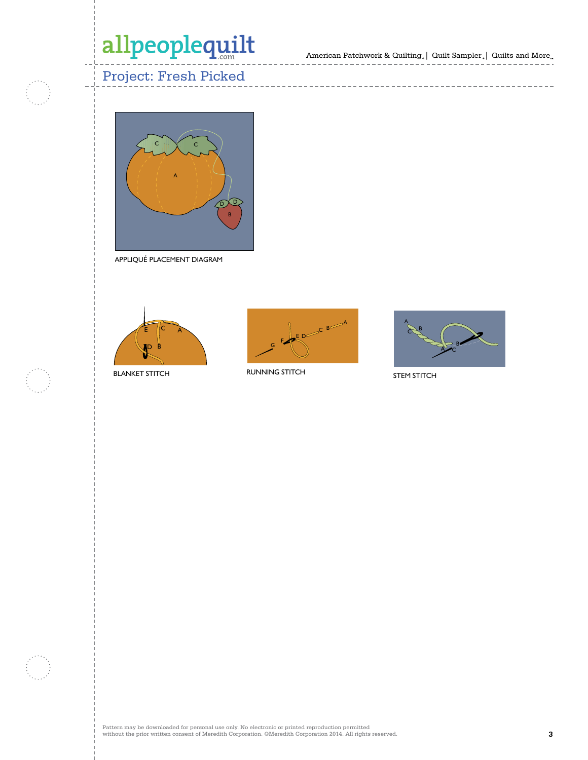American Patchwork & Quilting,  $|$  Quilt Sampler,  $|$  Quilts and More $_{\textrm{\tiny{m}}}$ 

-----------------------

 $- - - - -$ 

---------------

### Project: Fresh Picked



APPLIQUÉ PLACEMENT DIAGRAM



BLANKET STITCH



RUNNING STITCH



STEM STITCH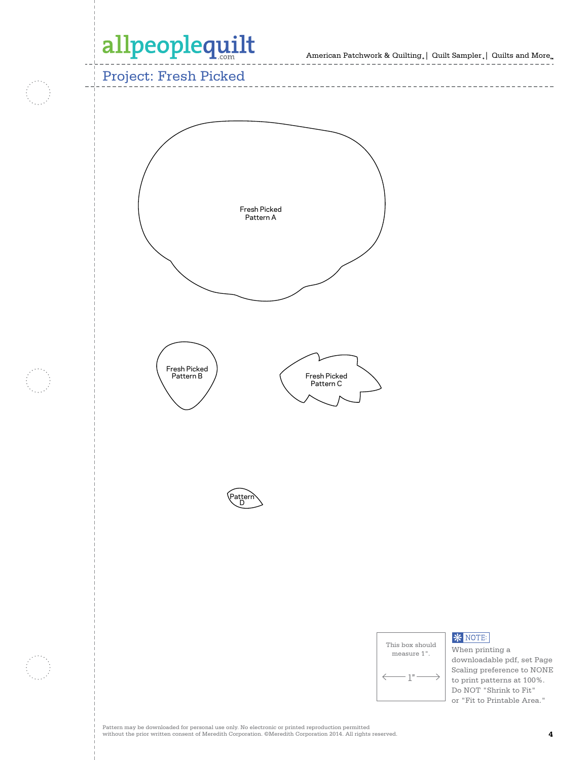American Patchwork & Quilting  $_{\circ} \vert \;$  Quilt Sampler  $_{\circ} \vert \;$  Quilts and More  $_{\circ} \;$